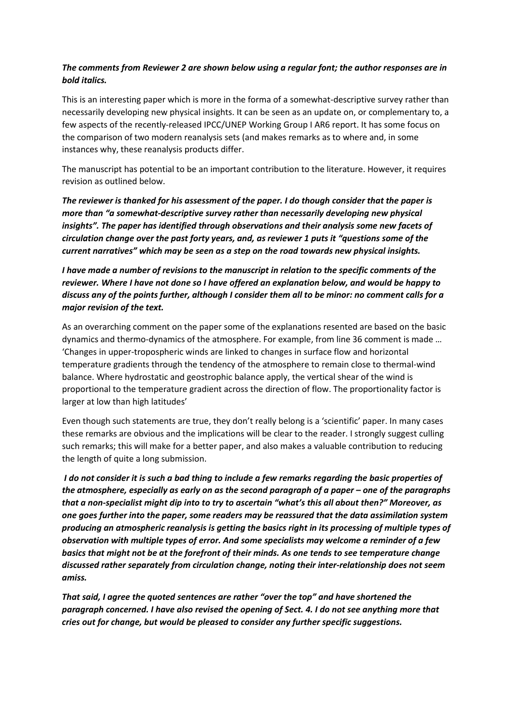## *The comments from Reviewer 2 are shown below using a regular font; the author responses are in bold italics.*

This is an interesting paper which is more in the forma of a somewhat-descriptive survey rather than necessarily developing new physical insights. It can be seen as an update on, or complementary to, a few aspects of the recently-released IPCC/UNEP Working Group I AR6 report. It has some focus on the comparison of two modern reanalysis sets (and makes remarks as to where and, in some instances why, these reanalysis products differ.

The manuscript has potential to be an important contribution to the literature. However, it requires revision as outlined below.

*The reviewer is thanked for his assessment of the paper. I do though consider that the paper is more than "a somewhat-descriptive survey rather than necessarily developing new physical insights". The paper has identified through observations and their analysis some new facets of circulation change over the past forty years, and, as reviewer 1 puts it "questions some of the current narratives" which may be seen as a step on the road towards new physical insights.*

*I have made a number of revisions to the manuscript in relation to the specific comments of the reviewer. Where I have not done so I have offered an explanation below, and would be happy to discuss any of the points further, although I consider them all to be minor: no comment calls for a major revision of the text.*

As an overarching comment on the paper some of the explanations resented are based on the basic dynamics and thermo-dynamics of the atmosphere. For example, from line 36 comment is made … 'Changes in upper-tropospheric winds are linked to changes in surface flow and horizontal temperature gradients through the tendency of the atmosphere to remain close to thermal-wind balance. Where hydrostatic and geostrophic balance apply, the vertical shear of the wind is proportional to the temperature gradient across the direction of flow. The proportionality factor is larger at low than high latitudes'

Even though such statements are true, they don't really belong is a 'scientific' paper. In many cases these remarks are obvious and the implications will be clear to the reader. I strongly suggest culling such remarks; this will make for a better paper, and also makes a valuable contribution to reducing the length of quite a long submission.

*I do not consider it is such a bad thing to include a few remarks regarding the basic properties of the atmosphere, especially as early on as the second paragraph of a paper – one of the paragraphs that a non-specialist might dip into to try to ascertain "what's this all about then?" Moreover, as one goes further into the paper, some readers may be reassured that the data assimilation system producing an atmospheric reanalysis is getting the basics right in its processing of multiple types of observation with multiple types of error. And some specialists may welcome a reminder of a few basics that might not be at the forefront of their minds. As one tends to see temperature change discussed rather separately from circulation change, noting their inter-relationship does not seem amiss.*

*That said, I agree the quoted sentences are rather "over the top" and have shortened the paragraph concerned. I have also revised the opening of Sect. 4. I do not see anything more that cries out for change, but would be pleased to consider any further specific suggestions.*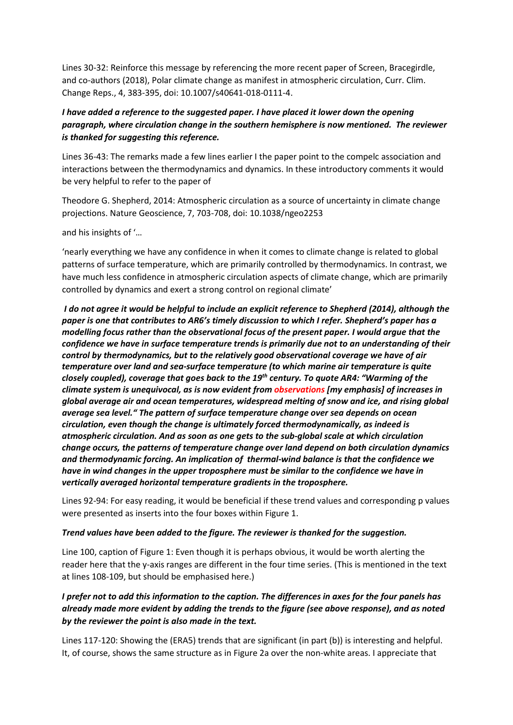Lines 30-32: Reinforce this message by referencing the more recent paper of Screen, Bracegirdle, and co-authors (2018), Polar climate change as manifest in atmospheric circulation, Curr. Clim. Change Reps., 4, 383-395, doi: 10.1007/s40641-018-0111-4.

## *I have added a reference to the suggested paper. I have placed it lower down the opening paragraph, where circulation change in the southern hemisphere is now mentioned. The reviewer is thanked for suggesting this reference.*

Lines 36-43: The remarks made a few lines earlier I the paper point to the compelc association and interactions between the thermodynamics and dynamics. In these introductory comments it would be very helpful to refer to the paper of

Theodore G. Shepherd, 2014: Atmospheric circulation as a source of uncertainty in climate change projections. Nature Geoscience, 7, 703-708, doi: 10.1038/ngeo2253

and his insights of '…

'nearly everything we have any confidence in when it comes to climate change is related to global patterns of surface temperature, which are primarily controlled by thermodynamics. In contrast, we have much less confidence in atmospheric circulation aspects of climate change, which are primarily controlled by dynamics and exert a strong control on regional climate'

*I do not agree it would be helpful to include an explicit reference to Shepherd (2014), although the paper is one that contributes to AR6's timely discussion to which I refer. Shepherd's paper has a modelling focus rather than the observational focus of the present paper. I would argue that the confidence we have in surface temperature trends is primarily due not to an understanding of their control by thermodynamics, but to the relatively good observational coverage we have of air temperature over land and sea-surface temperature (to which marine air temperature is quite closely coupled), coverage that goes back to the 19th century. To quote AR4: "Warming of the climate system is unequivocal, as is now evident from observations [my emphasis] of increases in global average air and ocean temperatures, widespread melting of snow and ice, and rising global average sea level." The pattern of surface temperature change over sea depends on ocean circulation, even though the change is ultimately forced thermodynamically, as indeed is atmospheric circulation. And as soon as one gets to the sub-global scale at which circulation change occurs, the patterns of temperature change over land depend on both circulation dynamics and thermodynamic forcing. An implication of thermal-wind balance is that the confidence we have in wind changes in the upper troposphere must be similar to the confidence we have in vertically averaged horizontal temperature gradients in the troposphere.*

Lines 92-94: For easy reading, it would be beneficial if these trend values and corresponding p values were presented as inserts into the four boxes within Figure 1.

#### *Trend values have been added to the figure. The reviewer is thanked for the suggestion.*

Line 100, caption of Figure 1: Even though it is perhaps obvious, it would be worth alerting the reader here that the y-axis ranges are different in the four time series. (This is mentioned in the text at lines 108-109, but should be emphasised here.)

## *I prefer not to add this information to the caption. The differences in axes for the four panels has already made more evident by adding the trends to the figure (see above response), and as noted by the reviewer the point is also made in the text.*

Lines 117-120: Showing the (ERA5) trends that are significant (in part (b)) is interesting and helpful. It, of course, shows the same structure as in Figure 2a over the non-white areas. I appreciate that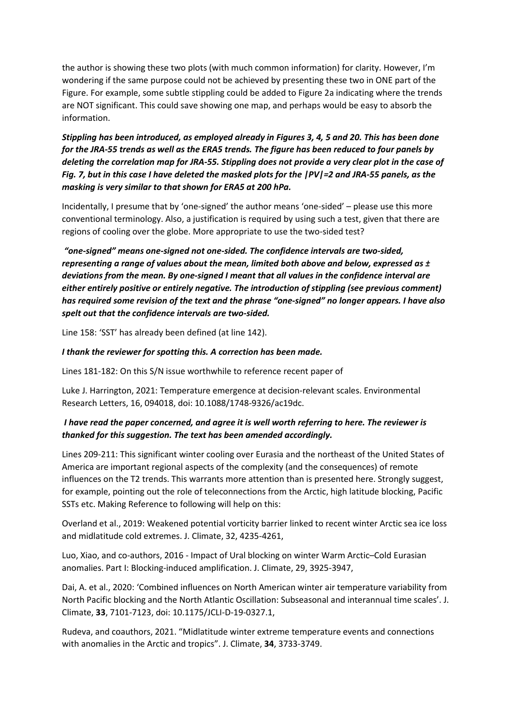the author is showing these two plots (with much common information) for clarity. However, I'm wondering if the same purpose could not be achieved by presenting these two in ONE part of the Figure. For example, some subtle stippling could be added to Figure 2a indicating where the trends are NOT significant. This could save showing one map, and perhaps would be easy to absorb the information.

*Stippling has been introduced, as employed already in Figures 3, 4, 5 and 20. This has been done for the JRA-55 trends as well as the ERA5 trends. The figure has been reduced to four panels by deleting the correlation map for JRA-55. Stippling does not provide a very clear plot in the case of Fig. 7, but in this case I have deleted the masked plots for the |PV|=2 and JRA-55 panels, as the masking is very similar to that shown for ERA5 at 200 hPa.*

Incidentally, I presume that by 'one-signed' the author means 'one-sided' – please use this more conventional terminology. Also, a justification is required by using such a test, given that there are regions of cooling over the globe. More appropriate to use the two-sided test?

*"one-signed" means one-signed not one-sided. The confidence intervals are two-sided, representing a range of values about the mean, limited both above and below, expressed as ± deviations from the mean. By one-signed I meant that all values in the confidence interval are either entirely positive or entirely negative. The introduction of stippling (see previous comment) has required some revision of the text and the phrase "one-signed" no longer appears. I have also spelt out that the confidence intervals are two-sided.*

Line 158: 'SST' has already been defined (at line 142).

#### *I thank the reviewer for spotting this. A correction has been made.*

Lines 181-182: On this S/N issue worthwhile to reference recent paper of

Luke J. Harrington, 2021: Temperature emergence at decision-relevant scales. Environmental Research Letters, 16, 094018, doi: 10.1088/1748-9326/ac19dc.

### *I have read the paper concerned, and agree it is well worth referring to here. The reviewer is thanked for this suggestion. The text has been amended accordingly.*

Lines 209-211: This significant winter cooling over Eurasia and the northeast of the United States of America are important regional aspects of the complexity (and the consequences) of remote influences on the T2 trends. This warrants more attention than is presented here. Strongly suggest, for example, pointing out the role of teleconnections from the Arctic, high latitude blocking, Pacific SSTs etc. Making Reference to following will help on this:

Overland et al., 2019: Weakened potential vorticity barrier linked to recent winter Arctic sea ice loss and midlatitude cold extremes. J. Climate, 32, 4235-4261,

Luo, Xiao, and co-authors, 2016 - Impact of Ural blocking on winter Warm Arctic–Cold Eurasian anomalies. Part I: Blocking-induced amplification. J. Climate, 29, 3925-3947,

Dai, A. et al., 2020: 'Combined influences on North American winter air temperature variability from North Pacific blocking and the North Atlantic Oscillation: Subseasonal and interannual time scales'. J. Climate, **33**, 7101-7123, doi: 10.1175/JCLI-D-19-0327.1,

Rudeva, and coauthors, 2021. "Midlatitude winter extreme temperature events and connections with anomalies in the Arctic and tropics". J. Climate, **34**, 3733-3749.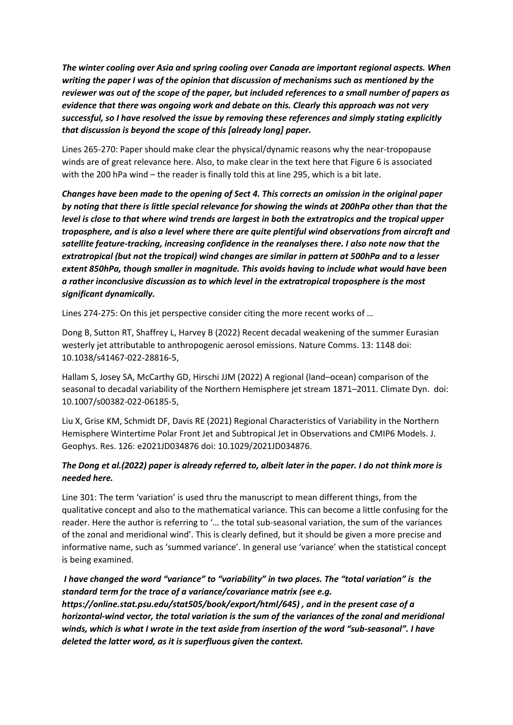*The winter cooling over Asia and spring cooling over Canada are important regional aspects. When writing the paper I was of the opinion that discussion of mechanisms such as mentioned by the reviewer was out of the scope of the paper, but included references to a small number of papers as evidence that there was ongoing work and debate on this. Clearly this approach was not very successful, so I have resolved the issue by removing these references and simply stating explicitly that discussion is beyond the scope of this [already long] paper.*

Lines 265-270: Paper should make clear the physical/dynamic reasons why the near-tropopause winds are of great relevance here. Also, to make clear in the text here that Figure 6 is associated with the 200 hPa wind – the reader is finally told this at line 295, which is a bit late.

*Changes have been made to the opening of Sect 4. This corrects an omission in the original paper by noting that there is little special relevance for showing the winds at 200hPa other than that the level is close to that where wind trends are largest in both the extratropics and the tropical upper troposphere, and is also a level where there are quite plentiful wind observations from aircraft and satellite feature-tracking, increasing confidence in the reanalyses there. I also note now that the extratropical (but not the tropical) wind changes are similar in pattern at 500hPa and to a lesser extent 850hPa, though smaller in magnitude. This avoids having to include what would have been a rather inconclusive discussion as to which level in the extratropical troposphere is the most significant dynamically.*

Lines 274-275: On this jet perspective consider citing the more recent works of …

Dong B, Sutton RT, Shaffrey L, Harvey B (2022) Recent decadal weakening of the summer Eurasian westerly jet attributable to anthropogenic aerosol emissions. Nature Comms. 13: 1148 doi: 10.1038/s41467-022-28816-5,

Hallam S, Josey SA, McCarthy GD, Hirschi JJM (2022) A regional (land–ocean) comparison of the seasonal to decadal variability of the Northern Hemisphere jet stream 1871–2011. Climate Dyn. doi: 10.1007/s00382-022-06185-5,

Liu X, Grise KM, Schmidt DF, Davis RE (2021) Regional Characteristics of Variability in the Northern Hemisphere Wintertime Polar Front Jet and Subtropical Jet in Observations and CMIP6 Models. J. Geophys. Res. 126: e2021JD034876 doi: 10.1029/2021JD034876.

## *The Dong et al.(2022) paper is already referred to, albeit later in the paper. I do not think more is needed here.*

Line 301: The term 'variation' is used thru the manuscript to mean different things, from the qualitative concept and also to the mathematical variance. This can become a little confusing for the reader. Here the author is referring to '… the total sub-seasonal variation, the sum of the variances of the zonal and meridional wind'. This is clearly defined, but it should be given a more precise and informative name, such as 'summed variance'. In general use 'variance' when the statistical concept is being examined.

# *I have changed the word "variance" to "variability" in two places. The "total variation" is the standard term for the trace of a variance/covariance matrix (see e.g.*

*https://online.stat.psu.edu/stat505/book/export/html/645) , and in the present case of a horizontal-wind vector, the total variation is the sum of the variances of the zonal and meridional winds, which is what I wrote in the text aside from insertion of the word "sub-seasonal". I have deleted the latter word, as it is superfluous given the context.*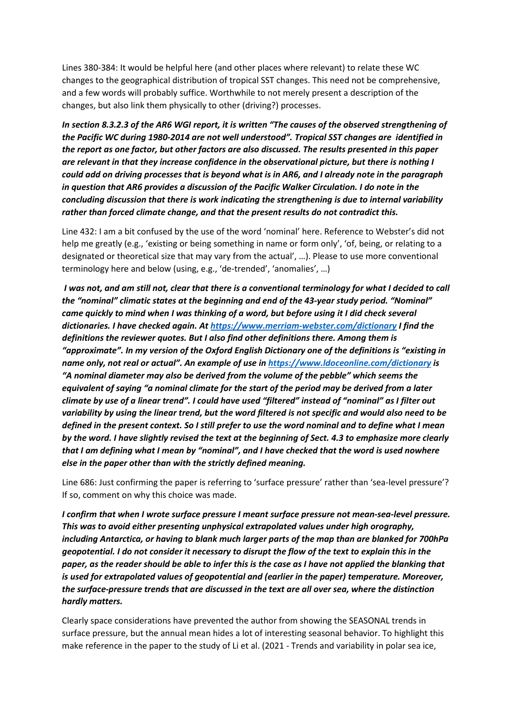Lines 380-384: It would be helpful here (and other places where relevant) to relate these WC changes to the geographical distribution of tropical SST changes. This need not be comprehensive, and a few words will probably suffice. Worthwhile to not merely present a description of the changes, but also link them physically to other (driving?) processes.

*In section 8.3.2.3 of the AR6 WGI report, it is written "The causes of the observed strengthening of the Pacific WC during 1980-2014 are not well understood". Tropical SST changes are identified in the report as one factor, but other factors are also discussed. The results presented in this paper are relevant in that they increase confidence in the observational picture, but there is nothing I could add on driving processes that is beyond what is in AR6, and I already note in the paragraph in question that AR6 provides a discussion of the Pacific Walker Circulation. I do note in the concluding discussion that there is work indicating the strengthening is due to internal variability rather than forced climate change, and that the present results do not contradict this.*

Line 432: I am a bit confused by the use of the word 'nominal' here. Reference to Webster's did not help me greatly (e.g., 'existing or being something in name or form only', 'of, being, or relating to a designated or theoretical size that may vary from the actual', …). Please to use more conventional terminology here and below (using, e.g., 'de-trended', 'anomalies', …)

*I was not, and am still not, clear that there is a conventional terminology for what I decided to call the "nominal" climatic states at the beginning and end of the 43-year study period. "Nominal" came quickly to mind when I was thinking of a word, but before using it I did check several dictionaries. I have checked again. At<https://www.merriam-webster.com/dictionary> I find the definitions the reviewer quotes. But I also find other definitions there. Among them is "approximate". In my version of the Oxford English Dictionary one of the definitions is "existing in name only, not real or actual". An example of use in<https://www.ldoceonline.com/dictionary> is "A nominal [diameter](https://www.ldoceonline.com/dictionary/diameter) may also be [derived](https://www.ldoceonline.com/dictionary/derive) from the [volume](https://www.ldoceonline.com/dictionary/volume) of th[e pebble"](https://www.ldoceonline.com/dictionary/pebble) which seems the equivalent of saying "a nominal climate for the start of the period may be derived from a later climate by use of a linear trend". I could have used "filtered" instead of "nominal" as I filter out variability by using the linear trend, but the word filtered is not specific and would also need to be defined in the present context. So I still prefer to use the word nominal and to define what I mean by the word. I have slightly revised the text at the beginning of Sect. 4.3 to emphasize more clearly that I am defining what I mean by "nominal", and I have checked that the word is used nowhere else in the paper other than with the strictly defined meaning.*

Line 686: Just confirming the paper is referring to 'surface pressure' rather than 'sea-level pressure'? If so, comment on why this choice was made.

*I confirm that when I wrote surface pressure I meant surface pressure not mean-sea-level pressure. This was to avoid either presenting unphysical extrapolated values under high orography, including Antarctica, or having to blank much larger parts of the map than are blanked for 700hPa geopotential. I do not consider it necessary to disrupt the flow of the text to explain this in the paper, as the reader should be able to infer this is the case as I have not applied the blanking that is used for extrapolated values of geopotential and (earlier in the paper) temperature. Moreover, the surface-pressure trends that are discussed in the text are all over sea, where the distinction hardly matters.*

Clearly space considerations have prevented the author from showing the SEASONAL trends in surface pressure, but the annual mean hides a lot of interesting seasonal behavior. To highlight this make reference in the paper to the study of Li et al. (2021 - Trends and variability in polar sea ice,